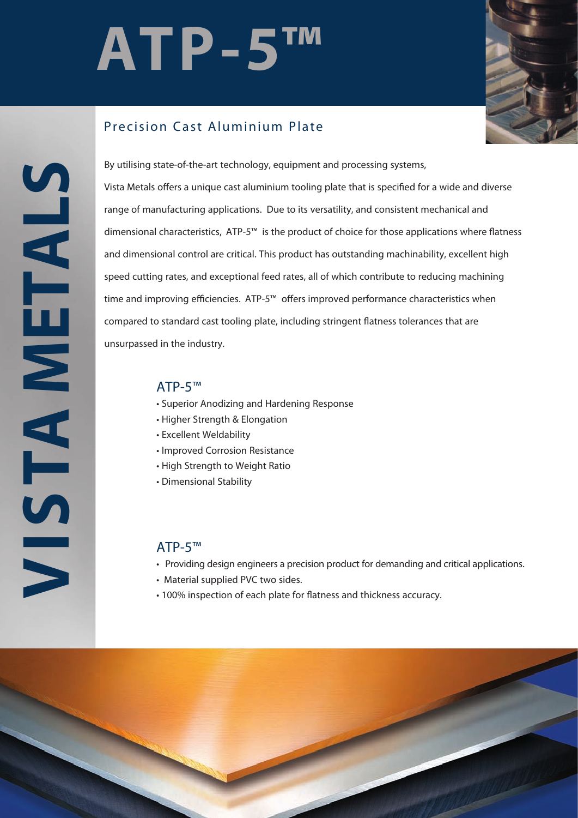# **ATP-5™**



## Precision Cast Aluminium Plate

**VISTA METALS STAMETALS**  By utilising state-of-the-art technology, equipment and processing systems, Vista Metals offers a unique cast aluminium tooling plate that is specified for a wide and diverse range of manufacturing applications. Due to its versatility, and consistent mechanical and dimensional characteristics,  $ATP-5<sup>™</sup>$  is the product of choice for those applications where flatness and dimensional control are critical. This product has outstanding machinability, excellent high speed cutting rates, and exceptional feed rates, all of which contribute to reducing machining time and improving efficiencies. ATP-5™ offers improved performance characteristics when compared to standard cast tooling plate, including stringent flatness tolerances that are unsurpassed in the industry.

#### ATP-5™

- Superior Anodizing and Hardening Response
- Higher Strength & Elongation
- Excellent Weldability
- Improved Corrosion Resistance
- High Strength to Weight Ratio
- Dimensional Stability

#### ATP-5™

- Providing design engineers a precision product for demanding and critical applications.
- Material supplied PVC two sides.
- 100% inspection of each plate for flatness and thickness accuracy.